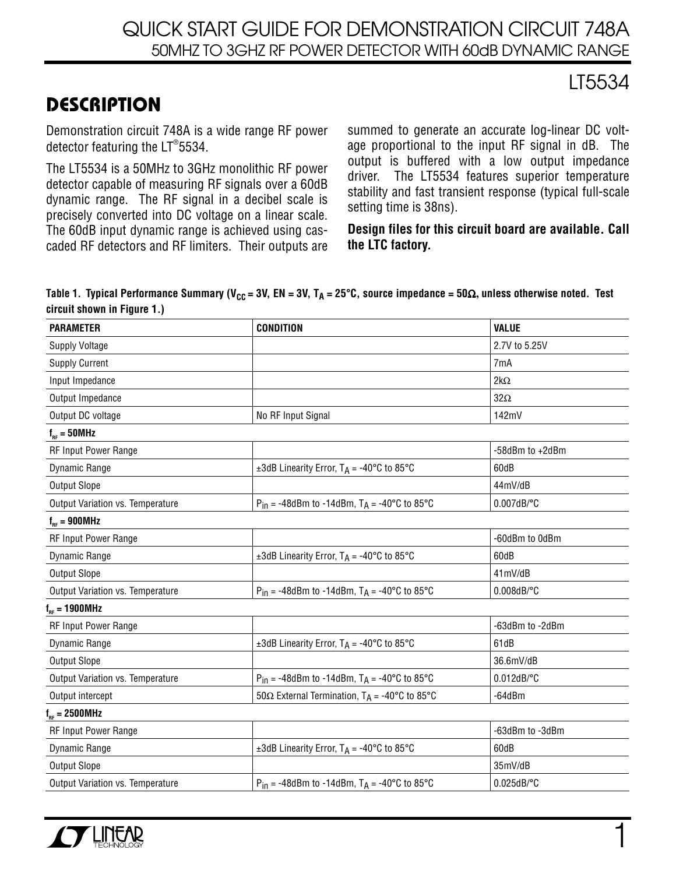## QUICK START GUIDE FOR DEMONSTRATION CIRCUIT 748A 50MHZ TO 3GHZ RF POWER DETECTOR WITH 60dB DYNAMIC RANGE

## LT5534

## **DESCRIPTION**

Demonstration circuit 748A is a wide range RF power detector featuring the LT ® 5534.

The LT5534 is a 50MHz to 3GHz monolithic RF power detector capable of measuring RF signals over a 60dB dynamic range. The RF signal in a decibel scale is precisely converted into DC voltage on a linear scale. The 60dB input dynamic range is achieved using cascaded RF detectors and RF limiters. Their outputs are

summed to generate an accurate log-linear DC voltage proportional to the input RF signal in dB. The output is buffered with a low output impedance driver. The LT5534 features superior temperature stability and fast transient response (typical full-scale setting time is 38ns).

**Design files for this circuit board are available. Call the LTC factory.**

#### Table 1. Typical Performance Summary (V<sub>CC</sub> = 3V, EN = 3V, T<sub>A</sub> = 25°C, source impedance = 50 $\Omega$ , unless otherwise noted. Test **circuit shown in Figure 1.)**

| <b>PARAMETER</b>                 | <b>CONDITION</b>                                                 | <b>VALUE</b>    |
|----------------------------------|------------------------------------------------------------------|-----------------|
| <b>Supply Voltage</b>            |                                                                  | 2.7V to 5.25V   |
| <b>Supply Current</b>            |                                                                  | 7mA             |
| Input Impedance                  |                                                                  | $2k\Omega$      |
| Output Impedance                 |                                                                  | $32\Omega$      |
| Output DC voltage                | No RF Input Signal                                               | 142mV           |
| $f_{RF} = 50 MHz$                |                                                                  |                 |
| RF Input Power Range             |                                                                  | -58dBm to +2dBm |
| Dynamic Range                    | ±3dB Linearity Error, $T_A = -40^{\circ}C$ to 85 $^{\circ}C$     | 60dB            |
| <b>Output Slope</b>              |                                                                  | 44mV/dB         |
| Output Variation vs. Temperature | $P_{in}$ = -48dBm to -14dBm, $T_A$ = -40°C to 85°C               | $0.007$ dB/°C   |
| $f_{RF} = 900 MHz$               |                                                                  |                 |
| RF Input Power Range             |                                                                  | -60dBm to 0dBm  |
| Dynamic Range                    | ±3dB Linearity Error, $T_A = -40^{\circ}$ C to 85°C              | 60dB            |
| <b>Output Slope</b>              |                                                                  | 41mV/dB         |
| Output Variation vs. Temperature | $P_{in}$ = -48dBm to -14dBm, $T_A$ = -40°C to 85°C               | $0.008$ dB/°C   |
| $f_{RF} = 1900 MHz$              |                                                                  |                 |
| <b>RF Input Power Range</b>      |                                                                  | -63dBm to -2dBm |
| Dynamic Range                    | ±3dB Linearity Error, $T_A = -40^{\circ}$ C to 85°C              | 61dB            |
| <b>Output Slope</b>              |                                                                  | 36.6mV/dB       |
| Output Variation vs. Temperature | $P_{in}$ = -48dBm to -14dBm, $T_A$ = -40°C to 85°C               | $0.012$ dB/°C   |
| Output intercept                 | 50 $\Omega$ External Termination, T <sub>A</sub> = -40°C to 85°C | $-64dBr$        |
| $f_{RF} = 2500 MHz$              |                                                                  |                 |
| RF Input Power Range             |                                                                  | -63dBm to -3dBm |
| Dynamic Range                    | ±3dB Linearity Error, $T_A = -40^{\circ}C$ to 85°C               | 60dB            |
| <b>Output Slope</b>              |                                                                  | 35mV/dB         |
| Output Variation vs. Temperature | $P_{in}$ = -48dBm to -14dBm, $T_A$ = -40°C to 85°C               | $0.025$ dB/°C   |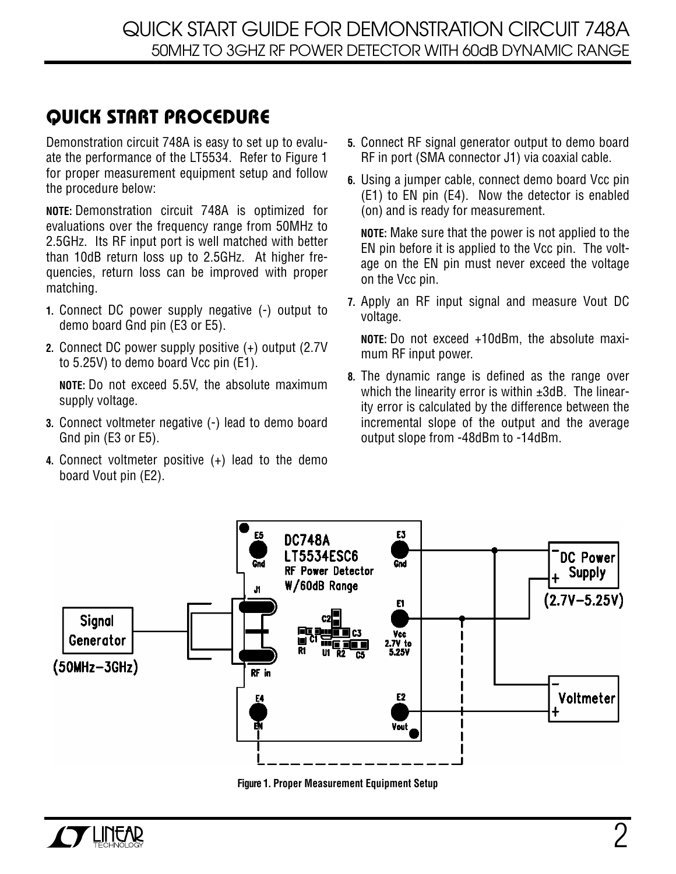# **QUICK START PROCEDURE**

Demonstration circuit 748A is easy to set up to evaluate the performance of the LT5534. Refer to Figure 1 for proper measurement equipment setup and follow the procedure below:

**NOTE:** Demonstration circuit 748A is optimized for evaluations over the frequency range from 50MHz to 2.5GHz. Its RF input port is well matched with better than 10dB return loss up to 2.5GHz. At higher frequencies, return loss can be improved with proper matching.

- **1.** Connect DC power supply negative (-) output to demo board Gnd pin (E3 or E5).
- **2.** Connect DC power supply positive (+) output (2.7V to 5.25V) to demo board Vcc pin (E1).

**NOTE:** Do not exceed 5.5V, the absolute maximum supply voltage.

- **3.** Connect voltmeter negative (-) lead to demo board Gnd pin (E3 or E5).
- **4.** Connect voltmeter positive (+) lead to the demo board Vout pin (E2).
- **5.** Connect RF signal generator output to demo board RF in port (SMA connector J1) via coaxial cable.
- **6.** Using a jumper cable, connect demo board Vcc pin (E1) to EN pin (E4). Now the detector is enabled (on) and is ready for measurement.

**NOTE:** Make sure that the power is not applied to the EN pin before it is applied to the Vcc pin. The voltage on the EN pin must never exceed the voltage on the Vcc pin.

**7.** Apply an RF input signal and measure Vout DC voltage.

**NOTE:** Do not exceed +10dBm, the absolute maximum RF input power.

**8.** The dynamic range is defined as the range over which the linearity error is within ±3dB. The linearity error is calculated by the difference between the incremental slope of the output and the average output slope from -48dBm to -14dBm.



**Figure 1. Proper Measurement Equipment Setup**